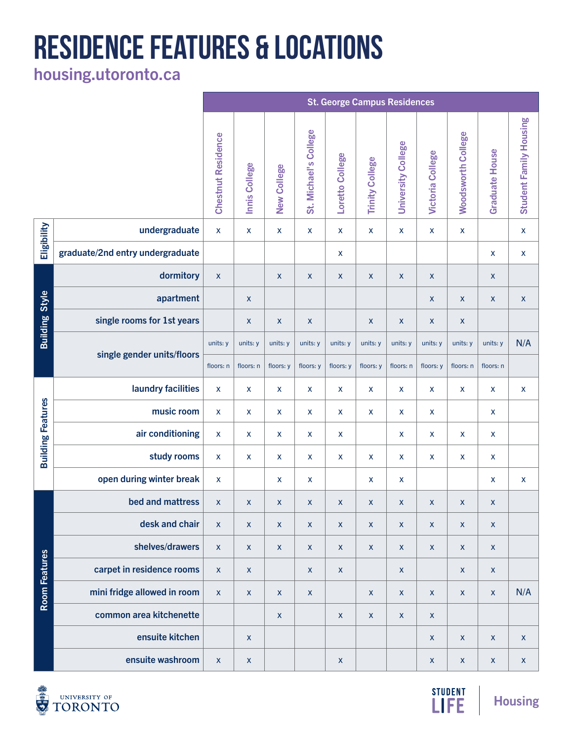## **RESIDENCE FEATURES & LOCATIONS**

[housing.utoronto.ca](http://housing.utoronto.ca)

|                          |                                  | <b>St. George Campus Residences</b> |                           |                           |                       |                    |                           |                           |                           |                           |                           |                           |
|--------------------------|----------------------------------|-------------------------------------|---------------------------|---------------------------|-----------------------|--------------------|---------------------------|---------------------------|---------------------------|---------------------------|---------------------------|---------------------------|
|                          |                                  | <b>Chestnut Residence</b>           | Innis College             | <b>New College</b>        | St. Michael's College | Loretto College    | <b>Trinity College</b>    | <b>University College</b> | <b>Victoria College</b>   | <b>Woodsworth College</b> | <b>Graduate House</b>     | Student Family Housing    |
| Eligibility              | undergraduate                    | $\boldsymbol{\mathsf{X}}$           | $\boldsymbol{\mathsf{X}}$ | X                         | X                     | $\pmb{\mathsf{X}}$ | X                         | $\pmb{\mathsf{X}}$        | X                         | X                         |                           | $\pmb{\mathsf{X}}$        |
|                          | graduate/2nd entry undergraduate |                                     |                           |                           |                       | $\pmb{\mathsf{X}}$ |                           |                           |                           |                           | $\pmb{\mathsf{X}}$        | $\pmb{\mathsf{X}}$        |
| <b>Building Style</b>    | dormitory                        | $\boldsymbol{\mathsf{X}}$           |                           | $\pmb{\mathsf{X}}$        | $\pmb{\mathsf{x}}$    | $\pmb{\mathsf{X}}$ | X                         | $\pmb{\mathsf{X}}$        | $\boldsymbol{X}$          |                           | $\boldsymbol{X}$          |                           |
|                          | apartment                        |                                     | $\boldsymbol{\mathsf{X}}$ |                           |                       |                    |                           |                           | $\mathsf{X}$              | $\pmb{\mathsf{X}}$        | $\pmb{\mathsf{X}}$        | $\boldsymbol{\mathsf{X}}$ |
|                          | single rooms for 1st years       |                                     | $\boldsymbol{\mathsf{X}}$ | $\pmb{\mathsf{X}}$        | $\pmb{\mathsf{X}}$    |                    | $\boldsymbol{\mathsf{X}}$ | $\pmb{\mathsf{X}}$        | $\mathsf{X}$              | $\mathsf{X}$              |                           |                           |
|                          | single gender units/floors       | units: y                            | units: y                  | units: y                  | units: y              | units: y           | units: y                  | units: y                  | units: y                  | units: y                  | units: y                  | N/A                       |
|                          |                                  | floors: n                           | floors: n                 | floors: y                 | floors: y             | floors: y          | floors: y                 | floors: n                 | floors: y                 | floors: n                 | floors: n                 |                           |
| <b>Building Features</b> | laundry facilities               | $\mathsf{x}$                        | $\boldsymbol{\mathsf{X}}$ | X                         | X                     | $\pmb{\mathsf{X}}$ | X                         | $\pmb{\mathsf{X}}$        | X                         | $\pmb{\mathsf{X}}$        | X                         | $\pmb{\mathsf{X}}$        |
|                          | music room                       | $\mathsf{x}$                        | $\boldsymbol{\mathsf{X}}$ | X                         | X                     | X                  | X                         | X                         | X                         |                           | X                         |                           |
|                          | air conditioning                 | $\boldsymbol{\mathsf{X}}$           | $\boldsymbol{\mathsf{X}}$ | X                         | X                     | $\mathsf{X}$       |                           | X                         | X                         | X                         | X                         |                           |
|                          | study rooms                      | X                                   | $\boldsymbol{\mathsf{X}}$ | X                         | X                     | $\pmb{\mathsf{X}}$ | X                         | X                         | X                         | $\pmb{\mathsf{X}}$        | X                         |                           |
|                          | open during winter break         | $\pmb{\mathsf{X}}$                  |                           | X                         | X                     |                    | $\boldsymbol{\mathsf{X}}$ | X                         |                           |                           | X                         | $\boldsymbol{\mathsf{X}}$ |
| Room Features            | bed and mattress                 | $\boldsymbol{\mathsf{X}}$           | $\boldsymbol{\mathsf{X}}$ | X                         | X                     | $\mathsf{X}$       | $\pmb{\mathsf{X}}$        | $\pmb{\mathsf{X}}$        | $\mathsf{X}$              | $\pmb{\times}$            | X                         |                           |
|                          | desk and chair                   | $\mathsf{x}$                        | $\pmb{\mathsf{X}}$        | $\boldsymbol{\mathsf{X}}$ | $\mathsf{X}$          | $\pmb{\mathsf{X}}$ | $\mathsf X$               | $\mathsf X$               | $\mathsf{X}$              | $\pmb{\mathsf{X}}$        | $\pmb{\mathsf{X}}$        |                           |
|                          | shelves/drawers                  | $\pmb{\mathsf{X}}$                  | $\pmb{\mathsf{X}}$        | $\boldsymbol{\mathsf{X}}$ | $\pmb{\mathsf{X}}$    | $\mathsf{X}$       | $\pmb{\mathsf{X}}$        | $\pmb{\mathsf{X}}$        | $\mathsf{X}$              | $\mathsf{X}$              | $\mathsf{X}$              |                           |
|                          | carpet in residence rooms        | $\mathsf{X}$                        | $\pmb{\mathsf{X}}$        |                           | $\pmb{\mathsf{X}}$    | $\mathsf X$        |                           | $\pmb{\mathsf{X}}$        |                           | $\pmb{\mathsf{X}}$        | $\mathsf{X}$              |                           |
|                          | mini fridge allowed in room      | $\mathsf{X}$                        | $\pmb{\mathsf{X}}$        | $\mathsf{X}$              | $\pmb{\mathsf{X}}$    |                    | $\mathsf{X}$              | $\pmb{\mathsf{X}}$        | $\pmb{\mathsf{X}}$        | $\pmb{\mathsf{X}}$        | $\pmb{\mathsf{X}}$        | N/A                       |
|                          | common area kitchenette          |                                     |                           | $\mathsf X$               |                       | $\pmb{\mathsf{X}}$ | $\pmb{\mathsf{X}}$        | $\pmb{\mathsf{X}}$        | $\mathsf{X}$              |                           |                           |                           |
|                          | ensuite kitchen                  |                                     | $\mathsf X$               |                           |                       |                    |                           |                           | $\mathsf{X}$              | $\pmb{\mathsf{X}}$        | $\boldsymbol{\mathsf{X}}$ | $\boldsymbol{\mathsf{X}}$ |
|                          | ensuite washroom                 | $\pmb{\mathsf{X}}$                  | $\boldsymbol{\mathsf{X}}$ |                           |                       | $\mathsf{X}$       |                           |                           | $\boldsymbol{\mathsf{X}}$ | $\pmb{\mathsf{X}}$        | $\mathsf{X}$              | $\mathsf X$               |